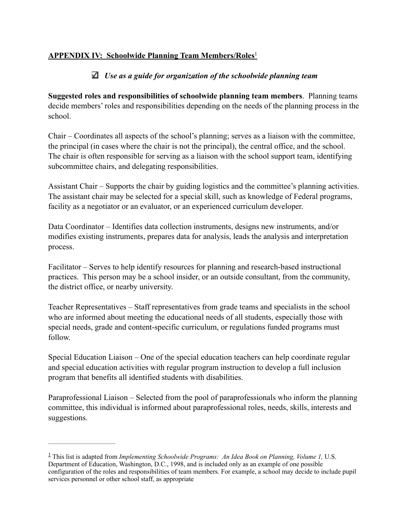## **APPENDIX IV: Schoolwide Planning Team Members/Roles**<sup>1</sup>

## *Use as a guide for organization of the schoolwide planning team*

**Suggested roles and responsibilities of schoolwide planning team members**. Planning teams decide members' roles and responsibilities depending on the needs of the planning process in the school.

Chair – Coordinates all aspects of the school's planning; serves as a liaison with the committee, the principal (in cases where the chair is not the principal), the central office, and the school. The chair is often responsible for serving as a liaison with the school support team, identifying subcommittee chairs, and delegating responsibilities.

Assistant Chair – Supports the chair by guiding logistics and the committee's planning activities. The assistant chair may be selected for a special skill, such as knowledge of Federal programs, facility as a negotiator or an evaluator, or an experienced curriculum developer.

Data Coordinator – Identifies data collection instruments, designs new instruments, and/or modifies existing instruments, prepares data for analysis, leads the analysis and interpretation process.

Facilitator – Serves to help identify resources for planning and research-based instructional practices. This person may be a school insider, or an outside consultant, from the community, the district office, or nearby university.

Teacher Representatives – Staff representatives from grade teams and specialists in the school who are informed about meeting the educational needs of all students, especially those with special needs, grade and content-specific curriculum, or regulations funded programs must follow.

Special Education Liaison – One of the special education teachers can help coordinate regular and special education activities with regular program instruction to develop a full inclusion program that benefits all identified students with disabilities.

Paraprofessional Liaison – Selected from the pool of paraprofessionals who inform the planning committee, this individual is informed about paraprofessional roles, needs, skills, interests and suggestions.

 $\frac{1}{2}$ This list is adapted from *Implementing Schoolwide Programs: An Idea Book on Planning, Volume 1, U.S.* Department of Education, Washington, D.C., 1998, and is included only as an example of one possible configuration of the roles and responsibilities of team members. For example, a school may decide to include pupil services personnel or other school staff, as appropriate